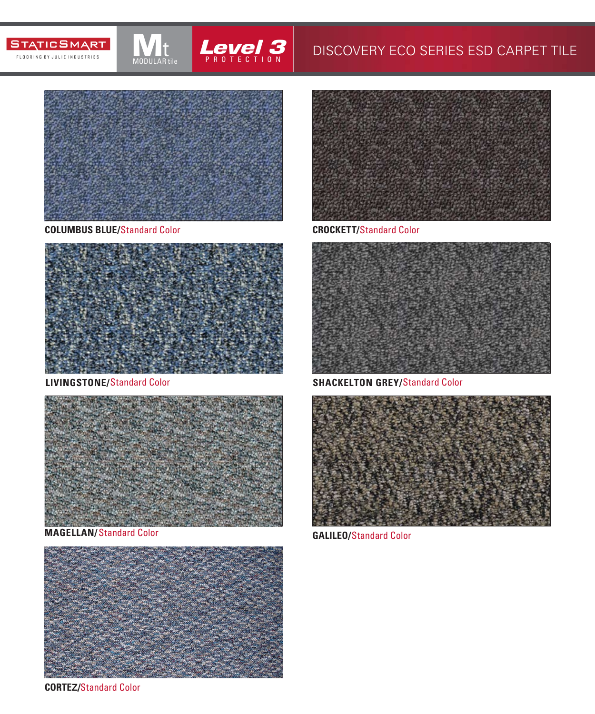



## DISCOVERY ECO SERIES ESD CARPET TILE



MODULAR tile

**COLUMBUS BLUE/**Standard Color **CROCKETT/**Standard Color





**MAGELLAN/**Standard Color



**CORTEZ/**Standard Color





**LIVINGSTONE/**Standard Color **SHACKELTON GREY/**Standard Color



**GALILEO/**Standard Color